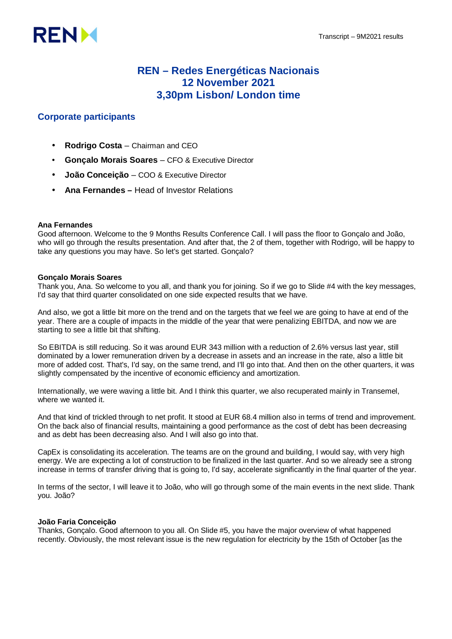

## **REN – Redes Energéticas Nacionais 12 November 2021 3,30pm Lisbon/ London time**

### **Corporate participants**

- **Rodrigo Costa** Chairman and CEO
- **Gonçalo Morais Soares** CFO & Executive Director
- **João Conceição** COO & Executive Director
- **Ana Fernandes –** Head of Investor Relations

#### **Ana Fernandes**

Good afternoon. Welcome to the 9 Months Results Conference Call. I will pass the floor to Gonçalo and João, who will go through the results presentation. And after that, the 2 of them, together with Rodrigo, will be happy to take any questions you may have. So let's get started. Gonçalo?

#### **Gonçalo Morais Soares**

Thank you, Ana. So welcome to you all, and thank you for joining. So if we go to Slide #4 with the key messages, I'd say that third quarter consolidated on one side expected results that we have.

And also, we got a little bit more on the trend and on the targets that we feel we are going to have at end of the year. There are a couple of impacts in the middle of the year that were penalizing EBITDA, and now we are starting to see a little bit that shifting.

So EBITDA is still reducing. So it was around EUR 343 million with a reduction of 2.6% versus last year, still dominated by a lower remuneration driven by a decrease in assets and an increase in the rate, also a little bit more of added cost. That's, I'd say, on the same trend, and I'll go into that. And then on the other quarters, it was slightly compensated by the incentive of economic efficiency and amortization.

Internationally, we were waving a little bit. And I think this quarter, we also recuperated mainly in Transemel, where we wanted it.

And that kind of trickled through to net profit. It stood at EUR 68.4 million also in terms of trend and improvement. On the back also of financial results, maintaining a good performance as the cost of debt has been decreasing and as debt has been decreasing also. And I will also go into that.

CapEx is consolidating its acceleration. The teams are on the ground and building, I would say, with very high energy. We are expecting a lot of construction to be finalized in the last quarter. And so we already see a strong increase in terms of transfer driving that is going to, I'd say, accelerate significantly in the final quarter of the year.

In terms of the sector, I will leave it to João, who will go through some of the main events in the next slide. Thank you. João?

#### **João Faria Conceição**

Thanks, Gonçalo. Good afternoon to you all. On Slide #5, you have the major overview of what happened recently. Obviously, the most relevant issue is the new regulation for electricity by the 15th of October [as the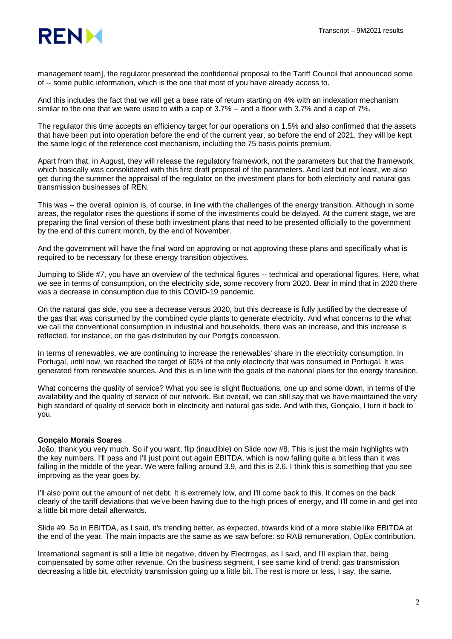

management team], the regulator presented the confidential proposal to the Tariff Council that announced some of -- some public information, which is the one that most of you have already access to.

And this includes the fact that we will get a base rate of return starting on 4% with an indexation mechanism similar to the one that we were used to with a cap of 3.7% -- and a floor with 3.7% and a cap of 7%.

The regulator this time accepts an efficiency target for our operations on 1.5% and also confirmed that the assets that have been put into operation before the end of the current year, so before the end of 2021, they will be kept the same logic of the reference cost mechanism, including the 75 basis points premium.

Apart from that, in August, they will release the regulatory framework, not the parameters but that the framework, which basically was consolidated with this first draft proposal of the parameters. And last but not least, we also get during the summer the appraisal of the regulator on the investment plans for both electricity and natural gas transmission businesses of REN.

This was -- the overall opinion is, of course, in line with the challenges of the energy transition. Although in some areas, the regulator rises the questions if some of the investments could be delayed. At the current stage, we are preparing the final version of these both investment plans that need to be presented officially to the government by the end of this current month, by the end of November.

And the government will have the final word on approving or not approving these plans and specifically what is required to be necessary for these energy transition objectives.

Jumping to Slide #7, you have an overview of the technical figures -- technical and operational figures. Here, what we see in terms of consumption, on the electricity side, some recovery from 2020. Bear in mind that in 2020 there was a decrease in consumption due to this COVID-19 pandemic.

On the natural gas side, you see a decrease versus 2020, but this decrease is fully justified by the decrease of the gas that was consumed by the combined cycle plants to generate electricity. And what concerns to the what we call the conventional consumption in industrial and households, there was an increase, and this increase is reflected, for instance, on the gas distributed by our Portg‡s concession.

In terms of renewables, we are continuing to increase the renewables' share in the electricity consumption. In Portugal, until now, we reached the target of 60% of the only electricity that was consumed in Portugal. It was generated from renewable sources. And this is in line with the goals of the national plans for the energy transition.

What concerns the quality of service? What you see is slight fluctuations, one up and some down, in terms of the availability and the quality of service of our network. But overall, we can still say that we have maintained the very high standard of quality of service both in electricity and natural gas side. And with this, Gonçalo, I turn it back to you.

#### **Gonçalo Morais Soares**

João, thank you very much. So if you want, flip (inaudible) on Slide now #8. This is just the main highlights with the key numbers. I'll pass and I'll just point out again EBITDA, which is now falling quite a bit less than it was falling in the middle of the year. We were falling around 3.9, and this is 2.6. I think this is something that you see improving as the year goes by.

I'll also point out the amount of net debt. It is extremely low, and I'll come back to this. It comes on the back clearly of the tariff deviations that we've been having due to the high prices of energy, and I'll come in and get into a little bit more detail afterwards.

Slide #9. So in EBITDA, as I said, it's trending better, as expected, towards kind of a more stable like EBITDA at the end of the year. The main impacts are the same as we saw before: so RAB remuneration, OpEx contribution.

International segment is still a little bit negative, driven by Electrogas, as I said, and I'll explain that, being compensated by some other revenue. On the business segment, I see same kind of trend: gas transmission decreasing a little bit, electricity transmission going up a little bit. The rest is more or less, I say, the same.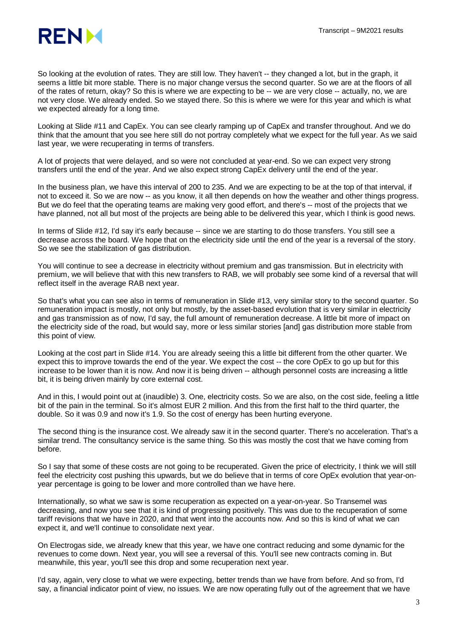

So looking at the evolution of rates. They are still low. They haven't -- they changed a lot, but in the graph, it seems a little bit more stable. There is no major change versus the second quarter. So we are at the floors of all of the rates of return, okay? So this is where we are expecting to be -- we are very close -- actually, no, we are not very close. We already ended. So we stayed there. So this is where we were for this year and which is what we expected already for a long time.

Looking at Slide #11 and CapEx. You can see clearly ramping up of CapEx and transfer throughout. And we do think that the amount that you see here still do not portray completely what we expect for the full year. As we said last year, we were recuperating in terms of transfers.

A lot of projects that were delayed, and so were not concluded at year-end. So we can expect very strong transfers until the end of the year. And we also expect strong CapEx delivery until the end of the year.

In the business plan, we have this interval of 200 to 235. And we are expecting to be at the top of that interval, if not to exceed it. So we are now -- as you know, it all then depends on how the weather and other things progress. But we do feel that the operating teams are making very good effort, and there's -- most of the projects that we have planned, not all but most of the projects are being able to be delivered this year, which I think is good news.

In terms of Slide #12, I'd say it's early because -- since we are starting to do those transfers. You still see a decrease across the board. We hope that on the electricity side until the end of the year is a reversal of the story. So we see the stabilization of gas distribution.

You will continue to see a decrease in electricity without premium and gas transmission. But in electricity with premium, we will believe that with this new transfers to RAB, we will probably see some kind of a reversal that will reflect itself in the average RAB next year.

So that's what you can see also in terms of remuneration in Slide #13, very similar story to the second quarter. So remuneration impact is mostly, not only but mostly, by the asset-based evolution that is very similar in electricity and gas transmission as of now, I'd say, the full amount of remuneration decrease. A little bit more of impact on the electricity side of the road, but would say, more or less similar stories [and] gas distribution more stable from this point of view.

Looking at the cost part in Slide #14. You are already seeing this a little bit different from the other quarter. We expect this to improve towards the end of the year. We expect the cost -- the core OpEx to go up but for this increase to be lower than it is now. And now it is being driven -- although personnel costs are increasing a little bit, it is being driven mainly by core external cost.

And in this, I would point out at (inaudible) 3. One, electricity costs. So we are also, on the cost side, feeling a little bit of the pain in the terminal. So it's almost EUR 2 million. And this from the first half to the third quarter, the double. So it was 0.9 and now it's 1.9. So the cost of energy has been hurting everyone.

The second thing is the insurance cost. We already saw it in the second quarter. There's no acceleration. That's a similar trend. The consultancy service is the same thing. So this was mostly the cost that we have coming from before.

So I say that some of these costs are not going to be recuperated. Given the price of electricity, I think we will still feel the electricity cost pushing this upwards, but we do believe that in terms of core OpEx evolution that year-onyear percentage is going to be lower and more controlled than we have here.

Internationally, so what we saw is some recuperation as expected on a year-on-year. So Transemel was decreasing, and now you see that it is kind of progressing positively. This was due to the recuperation of some tariff revisions that we have in 2020, and that went into the accounts now. And so this is kind of what we can expect it, and we'll continue to consolidate next year.

On Electrogas side, we already knew that this year, we have one contract reducing and some dynamic for the revenues to come down. Next year, you will see a reversal of this. You'll see new contracts coming in. But meanwhile, this year, you'll see this drop and some recuperation next year.

I'd say, again, very close to what we were expecting, better trends than we have from before. And so from, I'd say, a financial indicator point of view, no issues. We are now operating fully out of the agreement that we have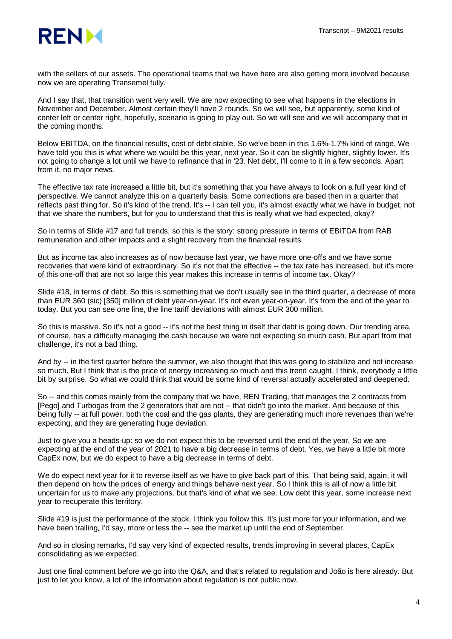

with the sellers of our assets. The operational teams that we have here are also getting more involved because now we are operating Transemel fully.

And I say that, that transition went very well. We are now expecting to see what happens in the elections in November and December. Almost certain they'll have 2 rounds. So we will see, but apparently, some kind of center left or center right, hopefully, scenario is going to play out. So we will see and we will accompany that in the coming months.

Below EBITDA, on the financial results, cost of debt stable. So we've been in this 1.6%-1.7% kind of range. We have told you this is what where we would be this year, next year. So it can be slightly higher, slightly lower. It's not going to change a lot until we have to refinance that in '23. Net debt, I'll come to it in a few seconds. Apart from it, no major news.

The effective tax rate increased a little bit, but it's something that you have always to look on a full year kind of perspective. We cannot analyze this on a quarterly basis. Some corrections are based then in a quarter that reflects past thing for. So it's kind of the trend. It's -- I can tell you, it's almost exactly what we have in budget, not that we share the numbers, but for you to understand that this is really what we had expected, okay?

So in terms of Slide #17 and full trends, so this is the story: strong pressure in terms of EBITDA from RAB remuneration and other impacts and a slight recovery from the financial results.

But as income tax also increases as of now because last year, we have more one-offs and we have some recoveries that were kind of extraordinary. So it's not that the effective -- the tax rate has increased, but it's more of this one-off that are not so large this year makes this increase in terms of income tax. Okay?

Slide #18, in terms of debt. So this is something that we don't usually see in the third quarter, a decrease of more than EUR 360 (sic) [350] million of debt year-on-year. It's not even year-on-year. It's from the end of the year to today. But you can see one line, the line tariff deviations with almost EUR 300 million.

So this is massive. So it's not a good -- it's not the best thing in itself that debt is going down. Our trending area, of course, has a difficulty managing the cash because we were not expecting so much cash. But apart from that challenge, it's not a bad thing.

And by -- in the first quarter before the summer, we also thought that this was going to stabilize and not increase so much. But I think that is the price of energy increasing so much and this trend caught, I think, everybody a little bit by surprise. So what we could think that would be some kind of reversal actually accelerated and deepened.

So -- and this comes mainly from the company that we have, REN Trading, that manages the 2 contracts from [Pego] and Turbogas from the 2 generators that are not -- that didn't go into the market. And because of this being fully -- at full power, both the coal and the gas plants, they are generating much more revenues than we're expecting, and they are generating huge deviation.

Just to give you a heads-up: so we do not expect this to be reversed until the end of the year. So we are expecting at the end of the year of 2021 to have a big decrease in terms of debt. Yes, we have a little bit more CapEx now, but we do expect to have a big decrease in terms of debt.

We do expect next year for it to reverse itself as we have to give back part of this. That being said, again, it will then depend on how the prices of energy and things behave next year. So I think this is all of now a little bit uncertain for us to make any projections, but that's kind of what we see. Low debt this year, some increase next year to recuperate this territory.

Slide #19 is just the performance of the stock. I think you follow this. It's just more for your information, and we have been trailing, I'd say, more or less the -- see the market up until the end of September.

And so in closing remarks, I'd say very kind of expected results, trends improving in several places, CapEx consolidating as we expected.

Just one final comment before we go into the Q&A, and that's related to regulation and João is here already. But just to let you know, a lot of the information about regulation is not public now.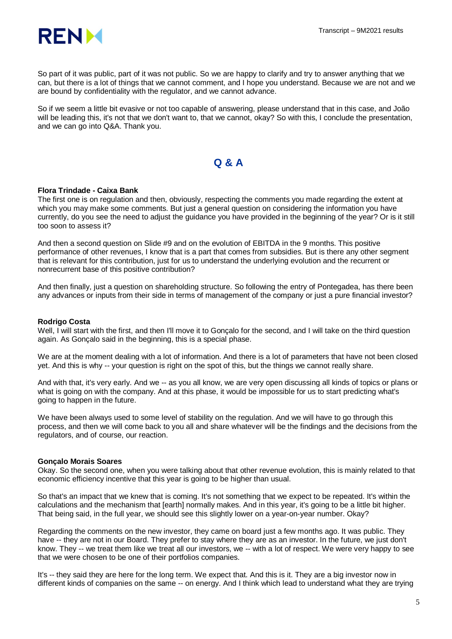

So part of it was public, part of it was not public. So we are happy to clarify and try to answer anything that we can, but there is a lot of things that we cannot comment, and I hope you understand. Because we are not and we are bound by confidentiality with the regulator, and we cannot advance.

So if we seem a little bit evasive or not too capable of answering, please understand that in this case, and João will be leading this, it's not that we don't want to, that we cannot, okay? So with this, I conclude the presentation, and we can go into Q&A. Thank you.

## **Q & A**

#### **Flora Trindade - Caixa Bank**

The first one is on regulation and then, obviously, respecting the comments you made regarding the extent at which you may make some comments. But just a general question on considering the information you have currently, do you see the need to adjust the guidance you have provided in the beginning of the year? Or is it still too soon to assess it?

And then a second question on Slide #9 and on the evolution of EBITDA in the 9 months. This positive performance of other revenues, I know that is a part that comes from subsidies. But is there any other segment that is relevant for this contribution, just for us to understand the underlying evolution and the recurrent or nonrecurrent base of this positive contribution?

And then finally, just a question on shareholding structure. So following the entry of Pontegadea, has there been any advances or inputs from their side in terms of management of the company or just a pure financial investor?

#### **Rodrigo Costa**

Well, I will start with the first, and then I'll move it to Gonçalo for the second, and I will take on the third question again. As Gonçalo said in the beginning, this is a special phase.

We are at the moment dealing with a lot of information. And there is a lot of parameters that have not been closed yet. And this is why -- your question is right on the spot of this, but the things we cannot really share.

And with that, it's very early. And we -- as you all know, we are very open discussing all kinds of topics or plans or what is going on with the company. And at this phase, it would be impossible for us to start predicting what's going to happen in the future.

We have been always used to some level of stability on the regulation. And we will have to go through this process, and then we will come back to you all and share whatever will be the findings and the decisions from the regulators, and of course, our reaction.

#### **Gonçalo Morais Soares**

Okay. So the second one, when you were talking about that other revenue evolution, this is mainly related to that economic efficiency incentive that this year is going to be higher than usual.

So that's an impact that we knew that is coming. It's not something that we expect to be repeated. It's within the calculations and the mechanism that [earth] normally makes. And in this year, it's going to be a little bit higher. That being said, in the full year, we should see this slightly lower on a year-on-year number. Okay?

Regarding the comments on the new investor, they came on board just a few months ago. It was public. They have -- they are not in our Board. They prefer to stay where they are as an investor. In the future, we just don't know. They -- we treat them like we treat all our investors, we -- with a lot of respect. We were very happy to see that we were chosen to be one of their portfolios companies.

It's -- they said they are here for the long term. We expect that. And this is it. They are a big investor now in different kinds of companies on the same -- on energy. And I think which lead to understand what they are trying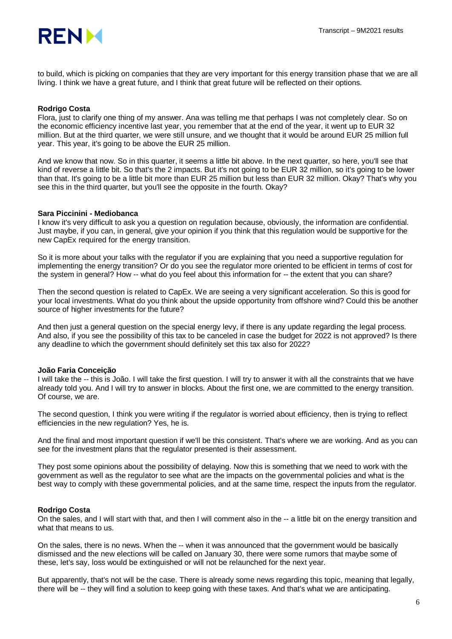

to build, which is picking on companies that they are very important for this energy transition phase that we are all living. I think we have a great future, and I think that great future will be reflected on their options.

#### **Rodrigo Costa**

Flora, just to clarify one thing of my answer. Ana was telling me that perhaps I was not completely clear. So on the economic efficiency incentive last year, you remember that at the end of the year, it went up to EUR 32 million. But at the third quarter, we were still unsure, and we thought that it would be around EUR 25 million full year. This year, it's going to be above the EUR 25 million.

And we know that now. So in this quarter, it seems a little bit above. In the next quarter, so here, you'll see that kind of reverse a little bit. So that's the 2 impacts. But it's not going to be EUR 32 million, so it's going to be lower than that. It's going to be a little bit more than EUR 25 million but less than EUR 32 million. Okay? That's why you see this in the third quarter, but you'll see the opposite in the fourth. Okay?

#### **Sara Piccinini - Mediobanca**

I know it's very difficult to ask you a question on regulation because, obviously, the information are confidential. Just maybe, if you can, in general, give your opinion if you think that this regulation would be supportive for the new CapEx required for the energy transition.

So it is more about your talks with the regulator if you are explaining that you need a supportive regulation for implementing the energy transition? Or do you see the regulator more oriented to be efficient in terms of cost for the system in general? How -- what do you feel about this information for -- the extent that you can share?

Then the second question is related to CapEx. We are seeing a very significant acceleration. So this is good for your local investments. What do you think about the upside opportunity from offshore wind? Could this be another source of higher investments for the future?

And then just a general question on the special energy levy, if there is any update regarding the legal process. And also, if you see the possibility of this tax to be canceled in case the budget for 2022 is not approved? Is there any deadline to which the government should definitely set this tax also for 2022?

#### **João Faria Conceição**

I will take the -- this is João. I will take the first question. I will try to answer it with all the constraints that we have already told you. And I will try to answer in blocks. About the first one, we are committed to the energy transition. Of course, we are.

The second question, I think you were writing if the regulator is worried about efficiency, then is trying to reflect efficiencies in the new regulation? Yes, he is.

And the final and most important question if we'll be this consistent. That's where we are working. And as you can see for the investment plans that the regulator presented is their assessment.

They post some opinions about the possibility of delaying. Now this is something that we need to work with the government as well as the regulator to see what are the impacts on the governmental policies and what is the best way to comply with these governmental policies, and at the same time, respect the inputs from the regulator.

#### **Rodrigo Costa**

On the sales, and I will start with that, and then I will comment also in the -- a little bit on the energy transition and what that means to us.

On the sales, there is no news. When the -- when it was announced that the government would be basically dismissed and the new elections will be called on January 30, there were some rumors that maybe some of these, let's say, loss would be extinguished or will not be relaunched for the next year.

But apparently, that's not will be the case. There is already some news regarding this topic, meaning that legally, there will be -- they will find a solution to keep going with these taxes. And that's what we are anticipating.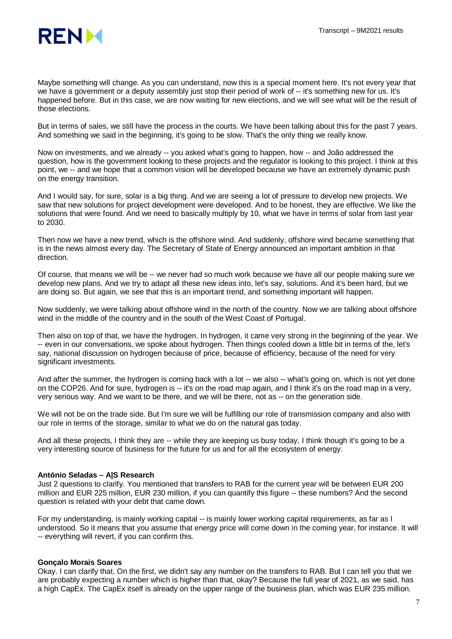

Maybe something will change. As you can understand, now this is a special moment here. It's not every year that we have a government or a deputy assembly just stop their period of work of -- it's something new for us. It's happened before. But in this case, we are now waiting for new elections, and we will see what will be the result of those elections.

But in terms of sales, we still have the process in the courts. We have been talking about this for the past 7 years. And something we said in the beginning, it's going to be slow. That's the only thing we really know.

Now on investments, and we already -- you asked what's going to happen, how -- and João addressed the question, how is the government looking to these projects and the regulator is looking to this project. I think at this point, we -- and we hope that a common vision will be developed because we have an extremely dynamic push on the energy transition.

And I would say, for sure, solar is a big thing. And we are seeing a lot of pressure to develop new projects. We saw that new solutions for project development were developed. And to be honest, they are effective. We like the solutions that were found. And we need to basically multiply by 10, what we have in terms of solar from last year to 2030.

Then now we have a new trend, which is the offshore wind. And suddenly, offshore wind became something that is in the news almost every day. The Secretary of State of Energy announced an important ambition in that direction.

Of course, that means we will be -- we never had so much work because we have all our people making sure we develop new plans. And we try to adapt all these new ideas into, let's say, solutions. And it's been hard, but we are doing so. But again, we see that this is an important trend, and something important will happen.

Now suddenly, we were talking about offshore wind in the north of the country. Now we are talking about offshore wind in the middle of the country and in the south of the West Coast of Portugal.

Then also on top of that, we have the hydrogen. In hydrogen, it came very strong in the beginning of the year. We -- even in our conversations, we spoke about hydrogen. Then things cooled down a little bit in terms of the, let's say, national discussion on hydrogen because of price, because of efficiency, because of the need for very significant investments.

And after the summer, the hydrogen is coming back with a lot -- we also -- what's going on, which is not yet done on the COP26. And for sure, hydrogen is -- it's on the road map again, and I think it's on the road map in a very, very serious way. And we want to be there, and we will be there, not as -- on the generation side.

We will not be on the trade side. But I'm sure we will be fulfilling our role of transmission company and also with our role in terms of the storage, similar to what we do on the natural gas today.

And all these projects, I think they are -- while they are keeping us busy today, I think though it's going to be a very interesting source of business for the future for us and for all the ecosystem of energy.

#### **António Seladas – A|S Research**

Just 2 questions to clarify. You mentioned that transfers to RAB for the current year will be between EUR 200 million and EUR 225 million, EUR 230 million, if you can quantify this figure -- these numbers? And the second question is related with your debt that came down.

For my understanding, is mainly working capital -- is mainly lower working capital requirements, as far as I understood. So it means that you assume that energy price will come down in the coming year, for instance. It will -- everything will revert, if you can confirm this.

#### **Gonçalo Morais Soares**

Okay. I can clarify that. On the first, we didn't say any number on the transfers to RAB. But I can tell you that we are probably expecting a number which is higher than that, okay? Because the full year of 2021, as we said, has a high CapEx. The CapEx itself is already on the upper range of the business plan, which was EUR 235 million.